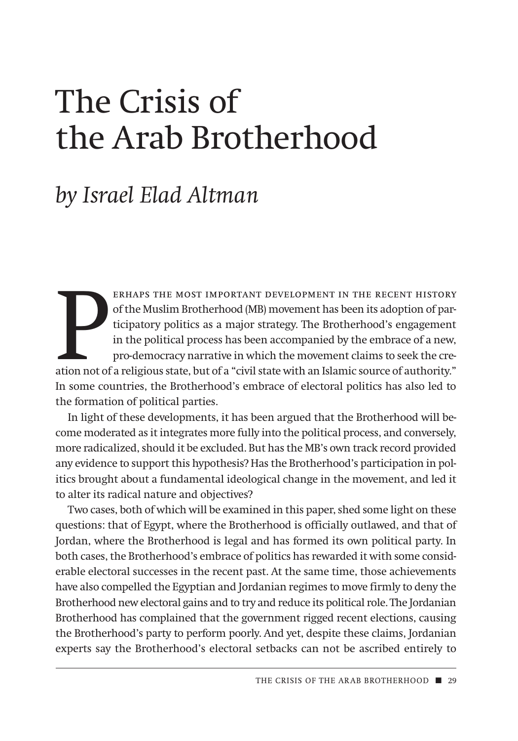# The Crisis of the Arab Brotherhood

## *by Israel Elad Altman*

ERHAPS THE MOST IMPORTANT DEVELOPMENT IN THE RECENT HISTORY of the Muslim Brotherhood (MB) movement has been its adoption of participatory politics as a major strategy. The Brotherhood's engagement in the political process erhaps the most important development in the recent history of the Muslim Brotherhood (MB) movement has been its adoption of participatory politics as a major strategy. The Brotherhood's engagement in the political process has been accompanied by the embrace of a new, pro-democracy narrative in which the movement claims to seek the cre-In some countries, the Brotherhood's embrace of electoral politics has also led to the formation of political parties.

In light of these developments, it has been argued that the Brotherhood will become moderated as it integrates more fully into the political process, and conversely, more radicalized, should it be excluded. But has the MB's own track record provided any evidence to support this hypothesis? Has the Brotherhood's participation in politics brought about a fundamental ideological change in the movement, and led it to alter its radical nature and objectives?

Two cases, both of which will be examined in this paper, shed some light on these questions: that of Egypt, where the Brotherhood is officially outlawed, and that of Jordan, where the Brotherhood is legal and has formed its own political party. In both cases, the Brotherhood's embrace of politics has rewarded it with some considerable electoral successes in the recent past. At the same time, those achievements have also compelled the Egyptian and Jordanian regimes to move firmly to deny the Brotherhood new electoral gains and to try and reduce its political role. The Jordanian Brotherhood has complained that the government rigged recent elections, causing the Brotherhood's party to perform poorly. And yet, despite these claims, Jordanian experts say the Brotherhood's electoral setbacks can not be ascribed entirely to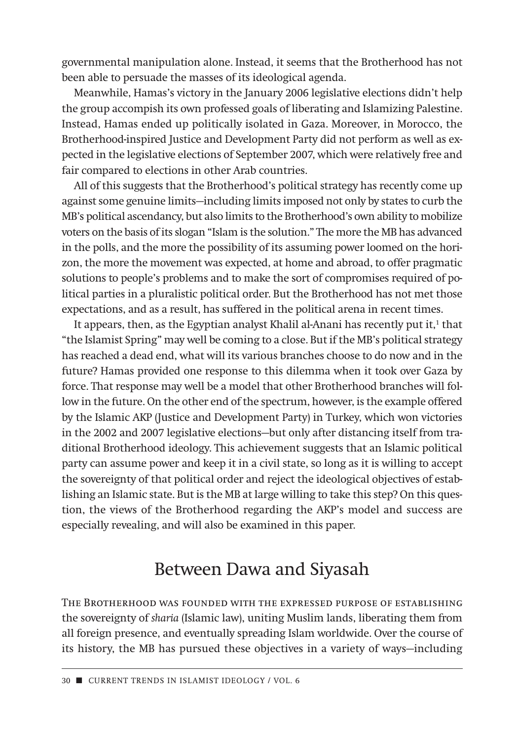governmental manipulation alone. Instead, it seems that the Brotherhood has not been able to persuade the masses of its ideological agenda.

Meanwhile, Hamas's victory in the January 2006 legislative elections didn't help the group accompish its own professed goals of liberating and Islamizing Palestine. Instead, Hamas ended up politically isolated in Gaza. Moreover, in Morocco, the Brotherhood-inspired Justice and Development Party did not perform as well as expected in the legislative elections of September 2007, which were relatively free and fair compared to elections in other Arab countries.

All of this suggests that the Brotherhood's political strategy has recently come up against some genuine limits—including limits imposed not only by states to curb the MB's political ascendancy, but also limits to the Brotherhood's own ability to mobilize voters on the basis of its slogan "Islam is the solution." The more the MB has advanced in the polls, and the more the possibility of its assuming power loomed on the horizon, the more the movement was expected, at home and abroad, to offer pragmatic solutions to people's problems and to make the sort of compromises required of political parties in a pluralistic political order. But the Brotherhood has not met those expectations, and as a result, has suffered in the political arena in recent times.

It appears, then, as the Egyptian analyst Khalil al-Anani has recently put it, $<sup>1</sup>$  that</sup> "the Islamist Spring" may well be coming to a close. But if the MB's political strategy has reached a dead end, what will its various branches choose to do now and in the future? Hamas provided one response to this dilemma when it took over Gaza by force. That response may well be a model that other Brotherhood branches will follow in the future. On the other end of the spectrum, however, is the example offered by the Islamic AKP (Justice and Development Party) in Turkey, which won victories in the 2002 and 2007 legislative elections—but only after distancing itself from traditional Brotherhood ideology. This achievement suggests that an Islamic political party can assume power and keep it in a civil state, so long as it is willing to accept the sovereignty of that political order and reject the ideological objectives of establishing an Islamic state. But is the MB at large willing to take this step? On this question, the views of the Brotherhood regarding the AKP's model and success are especially revealing, and will also be examined in this paper.

## Between Dawa and Siyasah

The Brotherhood was founded with the expressed purpose of establishing the sovereignty of *sharia* (Islamic law), uniting Muslim lands, liberating them from all foreign presence, and eventually spreading Islam worldwide. Over the course of its history, the MB has pursued these objectives in a variety of ways—including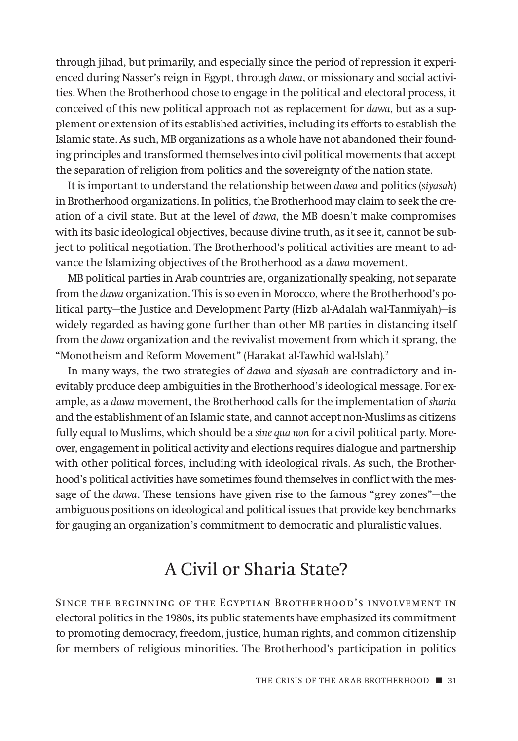through jihad, but primarily, and especially since the period of repression it experienced during Nasser's reign in Egypt, through *dawa*, or missionary and social activities. When the Brotherhood chose to engage in the political and electoral process, it conceived of this new political approach not as replacement for *dawa*, but as a supplement or extension of its established activities, including its efforts to establish the Islamic state. As such, MB organizations as a whole have not abandoned their founding principles and transformed themselves into civil political movements that accept the separation of religion from politics and the sovereignty of the nation state.

It is important to understand the relationship between *dawa* and politics (*siyasah*) in Brotherhood organizations. In politics, the Brotherhood may claim to seek the creation of a civil state. But at the level of *dawa,* the MB doesn't make compromises with its basic ideological objectives, because divine truth, as it see it, cannot be subject to political negotiation. The Brotherhood's political activities are meant to advance the Islamizing objectives of the Brotherhood as a *dawa* movement.

MB political parties in Arab countries are, organizationally speaking, not separate from the *dawa* organization. This is so even in Morocco, where the Brotherhood's political party—the Justice and Development Party (Hizb al-Adalah wal-Tanmiyah)—is widely regarded as having gone further than other MB parties in distancing itself from the *dawa* organization and the revivalist movement from which it sprang, the "Monotheism and Reform Movement" (Harakat al-Tawhid wal*-*Islah)*.* 2

In many ways, the two strategies of *dawa* and *siyasah* are contradictory and inevitably produce deep ambiguities in the Brotherhood's ideological message. For example, as a *dawa* movement, the Brotherhood calls for the implementation of *sharia* and the establishment of an Islamic state, and cannot accept non-Muslims as citizens fully equal to Muslims, which should be a *sine qua non* for a civil political party. Moreover, engagement in political activity and elections requires dialogue and partnership with other political forces, including with ideological rivals. As such, the Brotherhood's political activities have sometimes found themselves in conflict with the message of the *dawa*. These tensions have given rise to the famous "grey zones"—the ambiguous positions on ideological and political issues that provide key benchmarks for gauging an organization's commitment to democratic and pluralistic values.

## A Civil or Sharia State?

Since the beginning of the Egyptian Brotherhood's involvement in electoral politics in the 1980s, its public statements have emphasized its commitment to promoting democracy, freedom, justice, human rights, and common citizenship for members of religious minorities. The Brotherhood's participation in politics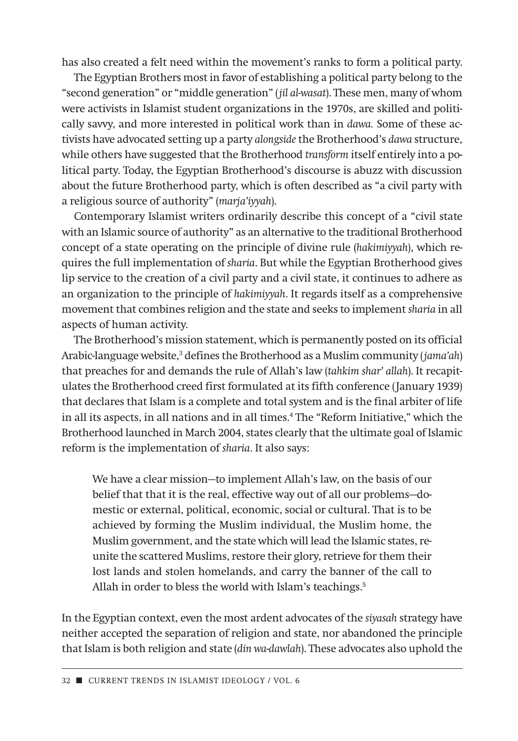has also created a felt need within the movement's ranks to form a political party.

The Egyptian Brothers most in favor of establishing a political party belong to the "second generation" or "middle generation" (*jil al-wasat*). These men, many of whom were activists in Islamist student organizations in the 1970s, are skilled and politically savvy, and more interested in political work than in *dawa.* Some of these activists have advocated setting up a party *alongside*the Brotherhood's *dawa* structure, while others have suggested that the Brotherhood *transform* itself entirely into a political party. Today, the Egyptian Brotherhood's discourse is abuzz with discussion about the future Brotherhood party, which is often described as "a civil party with a religious source of authority" (*marja'iyyah*).

Contemporary Islamist writers ordinarily describe this concept of a "civil state with an Islamic source of authority" as an alternative to the traditional Brotherhood concept of a state operating on the principle of divine rule (*hakimiyyah*), which requires the full implementation of *sharia*. But while the Egyptian Brotherhood gives lip service to the creation of a civil party and a civil state, it continues to adhere as an organization to the principle of *hakimiyyah*. It regards itself as a comprehensive movement that combines religion and the state and seeks to implement *sharia* in all aspects of human activity.

The Brotherhood's mission statement, which is permanently posted on its official Arabic-language website,<sup>3</sup> defines the Brotherhood as a Muslim community (*jama'ah*) that preaches for and demands the rule of Allah's law (*tahkim shar' allah*). It recapitulates the Brotherhood creed first formulated at its fifth conference (January 1939) that declares that Islam is a complete and total system and is the final arbiter of life in all its aspects, in all nations and in all times.<sup>4</sup> The "Reform Initiative," which the Brotherhood launched in March 2004, states clearly that the ultimate goal of Islamic reform is the implementation of *sharia*. It also says:

We have a clear mission—to implement Allah's law, on the basis of our belief that that it is the real, effective way out of all our problems—domestic or external, political, economic, social or cultural. That is to be achieved by forming the Muslim individual, the Muslim home, the Muslim government, and the state which will lead the Islamic states, reunite the scattered Muslims, restore their glory, retrieve for them their lost lands and stolen homelands, and carry the banner of the call to Allah in order to bless the world with Islam's teachings.<sup>5</sup>

In the Egyptian context, even the most ardent advocates of the *siyasah* strategy have neither accepted the separation of religion and state, nor abandoned the principle that Islam is both religion and state (*din wa-dawlah*). These advocates also uphold the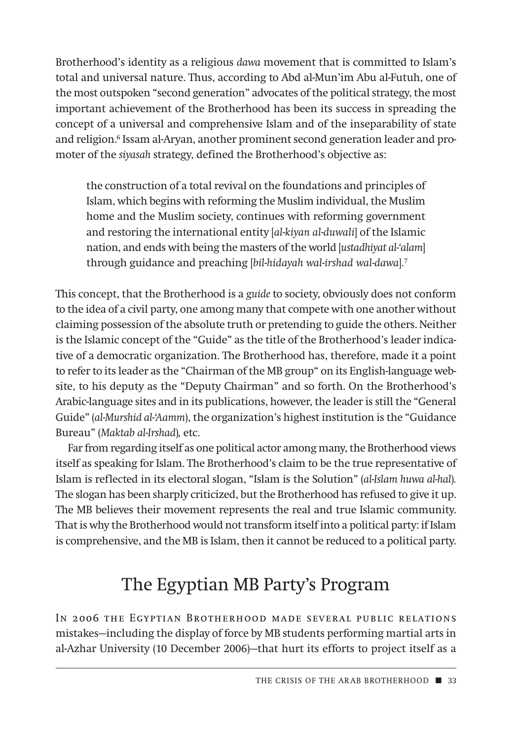Brotherhood's identity as a religious *dawa* movement that is committed to Islam's total and universal nature. Thus, according to Abd al-Mun'im Abu al-Futuh, one of the most outspoken "second generation" advocates of the political strategy, the most important achievement of the Brotherhood has been its success in spreading the concept of a universal and comprehensive Islam and of the inseparability of state and religion.6 Issam al-Aryan, another prominent second generation leader and promoter of the *siyasah* strategy, defined the Brotherhood's objective as:

the construction of a total revival on the foundations and principles of Islam, which begins with reforming the Muslim individual, the Muslim home and the Muslim society, continues with reforming government and restoring the international entity [*al-kiyan al-duwali*] of the Islamic nation, and ends with being the masters of the world [*ustadhiyat al-'alam*] through guidance and preaching [*bil-hidayah wal-irshad wal-dawa*]*.* 7

This concept, that the Brotherhood is a *guide* to society, obviously does not conform to the idea of a civil party, one among many that compete with one another without claiming possession of the absolute truth or pretending to guide the others. Neither is the Islamic concept of the "Guide" as the title of the Brotherhood's leader indicative of a democratic organization. The Brotherhood has, therefore, made it a point to refer to its leader as the "Chairman of the MB group" on its English-language website, to his deputy as the "Deputy Chairman" and so forth. On the Brotherhood's Arabic-language sites and in its publications, however, the leader is still the "General Guide" (*al-Murshid al-'Aamm*), the organization's highest institution is the "Guidance Bureau" (*Maktab al-Irshad*)*,* etc.

Far from regarding itself as one political actor among many, the Brotherhood views itself as speaking for Islam. The Brotherhood's claim to be the true representative of Islam is reflected in its electoral slogan, "Islam is the Solution" (*al-Islam huwa al-hal*)*.* The slogan has been sharply criticized, but the Brotherhood has refused to give it up. The MB believes their movement represents the real and true Islamic community. That is why the Brotherhood would not transform itself into a political party: if Islam is comprehensive, and the MB is Islam, then it cannot be reduced to a political party.

## The Egyptian MB Party's Program

In 2006 the Egyptian Brotherhood made several public relations mistakes—including the display of force by MB students performing martial arts in al-Azhar University (10 December 2006)—that hurt its efforts to project itself as a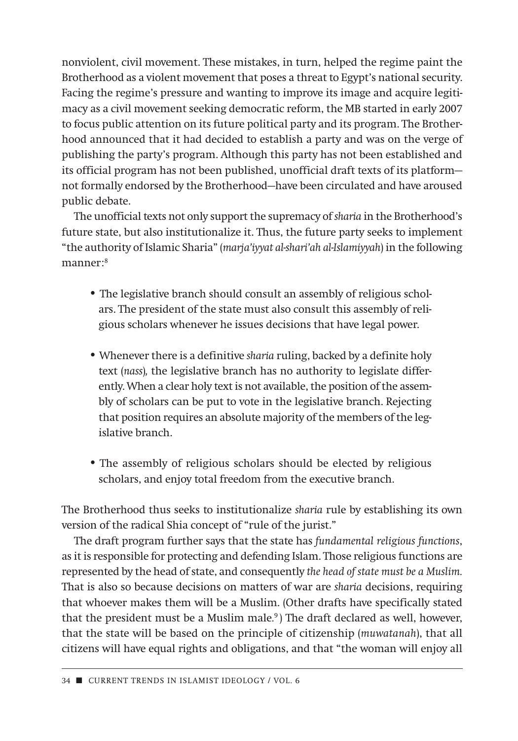nonviolent, civil movement. These mistakes, in turn, helped the regime paint the Brotherhood as a violent movement that poses a threat to Egypt's national security. Facing the regime's pressure and wanting to improve its image and acquire legitimacy as a civil movement seeking democratic reform, the MB started in early 2007 to focus public attention on its future political party and its program. The Brotherhood announced that it had decided to establish a party and was on the verge of publishing the party's program. Although this party has not been established and its official program has not been published, unofficial draft texts of its platform not formally endorsed by the Brotherhood—have been circulated and have aroused public debate.

The unofficial texts not only support the supremacy of *sharia* in the Brotherhood's future state, but also institutionalize it. Thus, the future party seeks to implement "the authority of Islamic Sharia" (*marja'iyyat al-shari'ah al-Islamiyyah*) in the following manner:8

- The legislative branch should consult an assembly of religious scholars. The president of the state must also consult this assembly of religious scholars whenever he issues decisions that have legal power.
- Whenever there is a definitive *sharia* ruling, backed by a definite holy text (*nass*)*,* the legislative branch has no authority to legislate differently. When a clear holy text is not available, the position of the assembly of scholars can be put to vote in the legislative branch. Rejecting that position requires an absolute majority of the members of the legislative branch.
- The assembly of religious scholars should be elected by religious scholars, and enjoy total freedom from the executive branch.

The Brotherhood thus seeks to institutionalize *sharia* rule by establishing its own version of the radical Shia concept of "rule of the jurist."

The draft program further says that the state has *fundamental religious functions*, as it is responsible for protecting and defending Islam. Those religious functions are represented by the head of state, and consequently *the head of state must be a Muslim.* That is also so because decisions on matters of war are *sharia* decisions, requiring that whoever makes them will be a Muslim. (Other drafts have specifically stated that the president must be a Muslim male*.* <sup>9</sup> ) The draft declared as well, however, that the state will be based on the principle of citizenship (*muwatanah*), that all citizens will have equal rights and obligations, and that "the woman will enjoy all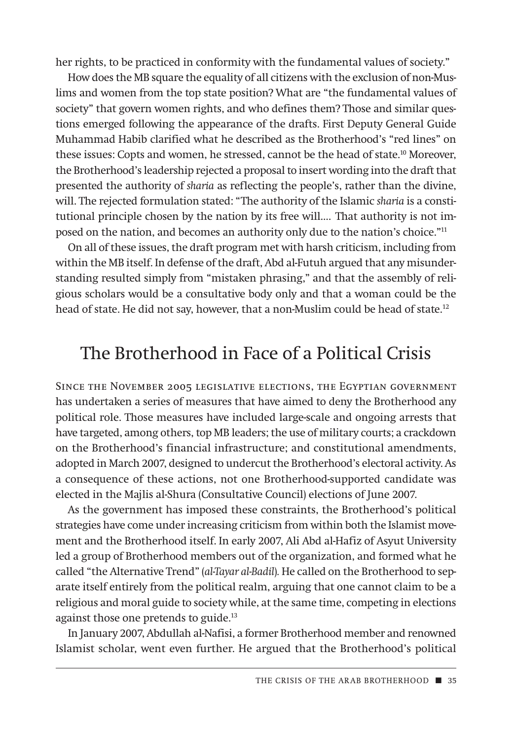her rights, to be practiced in conformity with the fundamental values of society."

How does the MB square the equality of all citizens with the exclusion of non-Muslims and women from the top state position? What are "the fundamental values of society" that govern women rights, and who defines them? Those and similar questions emerged following the appearance of the drafts. First Deputy General Guide Muhammad Habib clarified what he described as the Brotherhood's "red lines" on these issues: Copts and women, he stressed, cannot be the head of state.10 Moreover, the Brotherhood's leadership rejected a proposal to insert wording into the draft that presented the authority of *sharia* as reflecting the people's, rather than the divine, will. The rejected formulation stated: "The authority of the Islamic *sharia* is a constitutional principle chosen by the nation by its free will…. That authority is not imposed on the nation, and becomes an authority only due to the nation's choice."11

On all of these issues, the draft program met with harsh criticism, including from within the MB itself. In defense of the draft, Abd al-Futuh argued that any misunderstanding resulted simply from "mistaken phrasing," and that the assembly of religious scholars would be a consultative body only and that a woman could be the head of state. He did not say, however, that a non-Muslim could be head of state.<sup>12</sup>

#### The Brotherhood in Face of a Political Crisis

Since the November 2005 legislative elections, the Egyptian government has undertaken a series of measures that have aimed to deny the Brotherhood any political role. Those measures have included large-scale and ongoing arrests that have targeted, among others, top MB leaders; the use of military courts; a crackdown on the Brotherhood's financial infrastructure; and constitutional amendments, adopted in March 2007, designed to undercut the Brotherhood's electoral activity. As a consequence of these actions, not one Brotherhood-supported candidate was elected in the Majlis al-Shura (Consultative Council) elections of June 2007.

As the government has imposed these constraints, the Brotherhood's political strategies have come under increasing criticism from within both the Islamist movement and the Brotherhood itself. In early 2007, Ali Abd al-Hafiz of Asyut University led a group of Brotherhood members out of the organization, and formed what he called "the Alternative Trend" (*al-Tayar al-Badil*)*.* He called on the Brotherhood to separate itself entirely from the political realm, arguing that one cannot claim to be a religious and moral guide to society while, at the same time, competing in elections against those one pretends to guide.<sup>13</sup>

In January 2007, Abdullah al-Nafisi, a former Brotherhood member and renowned Islamist scholar, went even further. He argued that the Brotherhood's political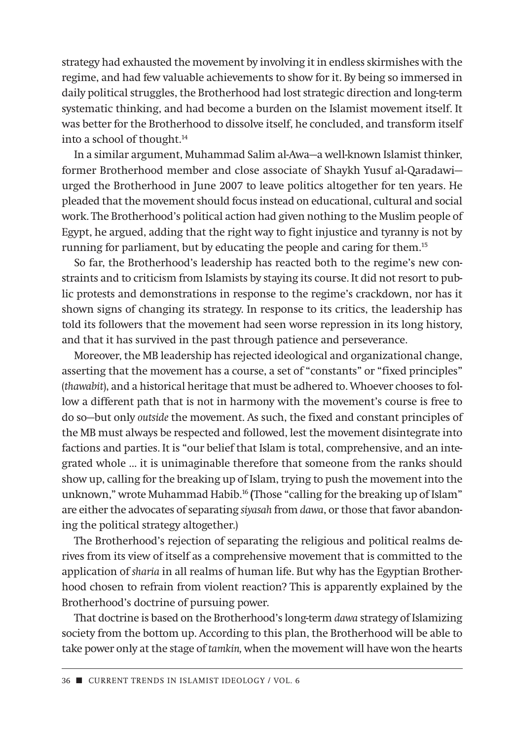strategy had exhausted the movement by involving it in endless skirmishes with the regime, and had few valuable achievements to show for it. By being so immersed in daily political struggles, the Brotherhood had lost strategic direction and long-term systematic thinking, and had become a burden on the Islamist movement itself. It was better for the Brotherhood to dissolve itself, he concluded, and transform itself into a school of thought.14

In a similar argument, Muhammad Salim al-Awa—a well-known Islamist thinker, former Brotherhood member and close associate of Shaykh Yusuf al-Qaradawi urged the Brotherhood in June 2007 to leave politics altogether for ten years. He pleaded that the movement should focus instead on educational, cultural and social work. The Brotherhood's political action had given nothing to the Muslim people of Egypt, he argued, adding that the right way to fight injustice and tyranny is not by running for parliament, but by educating the people and caring for them.15

So far, the Brotherhood's leadership has reacted both to the regime's new constraints and to criticism from Islamists by staying its course. It did not resort to public protests and demonstrations in response to the regime's crackdown, nor has it shown signs of changing its strategy. In response to its critics, the leadership has told its followers that the movement had seen worse repression in its long history, and that it has survived in the past through patience and perseverance.

Moreover, the MB leadership has rejected ideological and organizational change, asserting that the movement has a course, a set of "constants" or "fixed principles" (*thawabit*), and a historical heritage that must be adhered to. Whoever chooses to follow a different path that is not in harmony with the movement's course is free to do so—but only *outside* the movement. As such, the fixed and constant principles of the MB must always be respected and followed, lest the movement disintegrate into factions and parties. It is "our belief that Islam is total, comprehensive, and an integrated whole … it is unimaginable therefore that someone from the ranks should show up, calling for the breaking up of Islam, trying to push the movement into the unknown," wrote Muhammad Habib.<sup>16</sup> (Those "calling for the breaking up of Islam" are either the advocates of separating *siyasah* from *dawa*, or those that favor abandoning the political strategy altogether.)

The Brotherhood's rejection of separating the religious and political realms derives from its view of itself as a comprehensive movement that is committed to the application of *sharia* in all realms of human life. But why has the Egyptian Brotherhood chosen to refrain from violent reaction? This is apparently explained by the Brotherhood's doctrine of pursuing power.

That doctrine is based on the Brotherhood's long-term *dawa* strategy of Islamizing society from the bottom up. According to this plan, the Brotherhood will be able to take power only at the stage of *tamkin,* when the movement will have won the hearts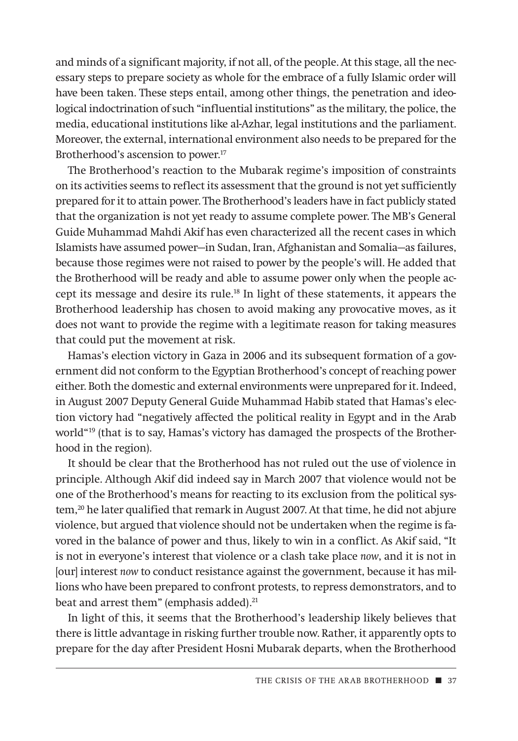and minds of a significant majority, if not all, of the people. At this stage, all the necessary steps to prepare society as whole for the embrace of a fully Islamic order will have been taken. These steps entail, among other things, the penetration and ideological indoctrination of such "influential institutions" as the military, the police, the media, educational institutions like al-Azhar, legal institutions and the parliament. Moreover, the external, international environment also needs to be prepared for the Brotherhood's ascension to power.<sup>17</sup>

The Brotherhood's reaction to the Mubarak regime's imposition of constraints on its activities seems to reflect its assessment that the ground is not yet sufficiently prepared for it to attain power. The Brotherhood's leaders have in fact publicly stated that the organization is not yet ready to assume complete power. The MB's General Guide Muhammad Mahdi Akif has even characterized all the recent cases in which Islamists have assumed power—in Sudan, Iran, Afghanistan and Somalia—as failures, because those regimes were not raised to power by the people's will. He added that the Brotherhood will be ready and able to assume power only when the people accept its message and desire its rule.18 In light of these statements, it appears the Brotherhood leadership has chosen to avoid making any provocative moves, as it does not want to provide the regime with a legitimate reason for taking measures that could put the movement at risk.

Hamas's election victory in Gaza in 2006 and its subsequent formation of a government did not conform to the Egyptian Brotherhood's concept of reaching power either. Both the domestic and external environments were unprepared for it. Indeed, in August 2007 Deputy General Guide Muhammad Habib stated that Hamas's election victory had "negatively affected the political reality in Egypt and in the Arab world"19 (that is to say, Hamas's victory has damaged the prospects of the Brotherhood in the region).

It should be clear that the Brotherhood has not ruled out the use of violence in principle. Although Akif did indeed say in March 2007 that violence would not be one of the Brotherhood's means for reacting to its exclusion from the political system,<sup>20</sup> he later qualified that remark in August 2007. At that time, he did not abjure violence, but argued that violence should not be undertaken when the regime is favored in the balance of power and thus, likely to win in a conflict. As Akif said, "It is not in everyone's interest that violence or a clash take place *now*, and it is not in [our] interest *now* to conduct resistance against the government, because it has millions who have been prepared to confront protests, to repress demonstrators, and to beat and arrest them" (emphasis added).<sup>21</sup>

In light of this, it seems that the Brotherhood's leadership likely believes that there is little advantage in risking further trouble now. Rather, it apparently opts to prepare for the day after President Hosni Mubarak departs, when the Brotherhood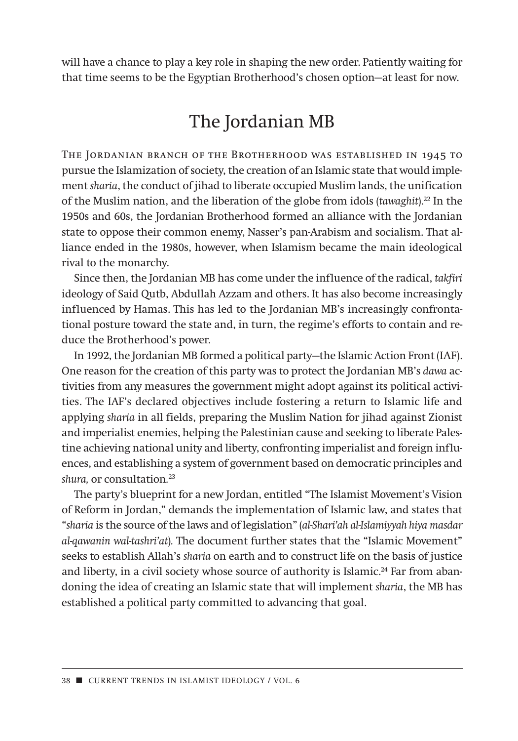will have a chance to play a key role in shaping the new order. Patiently waiting for that time seems to be the Egyptian Brotherhood's chosen option—at least for now.

#### The Jordanian MB

THE JORDANIAN BRANCH OF THE BROTHERHOOD WAS ESTABLISHED IN 1945 TO pursue the Islamization of society, the creation of an Islamic state that would implement *sharia*, the conduct of jihad to liberate occupied Muslim lands, the unification of the Muslim nation, and the liberation of the globe from idols (*tawaghit*).22 In the 1950s and 60s, the Jordanian Brotherhood formed an alliance with the Jordanian state to oppose their common enemy, Nasser's pan-Arabism and socialism. That alliance ended in the 1980s, however, when Islamism became the main ideological rival to the monarchy.

Since then, the Jordanian MB has come under the influence of the radical, *takfiri* ideology of Said Qutb, Abdullah Azzam and others. It has also become increasingly influenced by Hamas. This has led to the Jordanian MB's increasingly confrontational posture toward the state and, in turn, the regime's efforts to contain and reduce the Brotherhood's power.

In 1992, the Jordanian MB formed a political party—the Islamic Action Front (IAF). One reason for the creation of this party was to protect the Jordanian MB's *dawa* activities from any measures the government might adopt against its political activities. The IAF's declared objectives include fostering a return to Islamic life and applying *sharia* in all fields, preparing the Muslim Nation for jihad against Zionist and imperialist enemies, helping the Palestinian cause and seeking to liberate Palestine achieving national unity and liberty, confronting imperialist and foreign influences, and establishing a system of government based on democratic principles and *shura,* or consultation*.* 23

The party's blueprint for a new Jordan, entitled "The Islamist Movement's Vision of Reform in Jordan," demands the implementation of Islamic law, and states that "*sharia* is the source of the laws and of legislation" (*al-Shari'ah al-Islamiyyah hiya masdar al-qawanin wal-tashri'at*)*.* The document further states that the "Islamic Movement" seeks to establish Allah's *sharia* on earth and to construct life on the basis of justice and liberty, in a civil society whose source of authority is Islamic.<sup>24</sup> Far from abandoning the idea of creating an Islamic state that will implement *sharia*, the MB has established a political party committed to advancing that goal.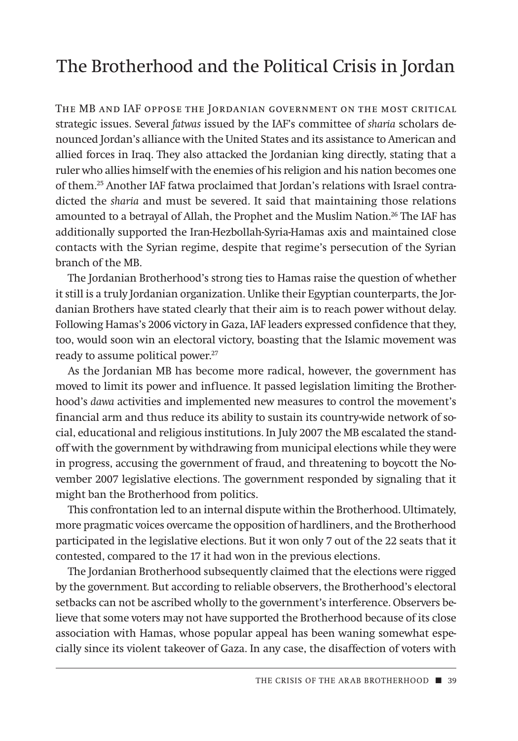## The Brotherhood and the Political Crisis in Jordan

THE MB AND IAF OPPOSE THE JORDANIAN GOVERNMENT ON THE MOST CRITICAL strategic issues. Several *fatwas* issued by the IAF's committee of *sharia* scholars denounced Jordan's alliance with the United States and its assistance to American and allied forces in Iraq. They also attacked the Jordanian king directly, stating that a ruler who allies himself with the enemies of his religion and his nation becomes one of them.25 Another IAF fatwa proclaimed that Jordan's relations with Israel contradicted the *sharia* and must be severed. It said that maintaining those relations amounted to a betrayal of Allah, the Prophet and the Muslim Nation.<sup>26</sup> The IAF has additionally supported the Iran-Hezbollah-Syria-Hamas axis and maintained close contacts with the Syrian regime, despite that regime's persecution of the Syrian branch of the MB.

The Jordanian Brotherhood's strong ties to Hamas raise the question of whether it still is a truly Jordanian organization. Unlike their Egyptian counterparts, the Jordanian Brothers have stated clearly that their aim is to reach power without delay. Following Hamas's 2006 victory in Gaza, IAF leaders expressed confidence that they, too, would soon win an electoral victory, boasting that the Islamic movement was ready to assume political power.<sup>27</sup>

As the Jordanian MB has become more radical, however, the government has moved to limit its power and influence. It passed legislation limiting the Brotherhood's *dawa* activities and implemented new measures to control the movement's financial arm and thus reduce its ability to sustain its country-wide network of social, educational and religious institutions. In July 2007 the MB escalated the standoff with the government by withdrawing from municipal elections while they were in progress, accusing the government of fraud, and threatening to boycott the November 2007 legislative elections. The government responded by signaling that it might ban the Brotherhood from politics.

This confrontation led to an internal dispute within the Brotherhood. Ultimately, more pragmatic voices overcame the opposition of hardliners, and the Brotherhood participated in the legislative elections. But it won only 7 out of the 22 seats that it contested, compared to the 17 it had won in the previous elections.

The Jordanian Brotherhood subsequently claimed that the elections were rigged by the government*.* But according to reliable observers, the Brotherhood's electoral setbacks can not be ascribed wholly to the government's interference. Observers believe that some voters may not have supported the Brotherhood because of its close association with Hamas, whose popular appeal has been waning somewhat especially since its violent takeover of Gaza. In any case, the disaffection of voters with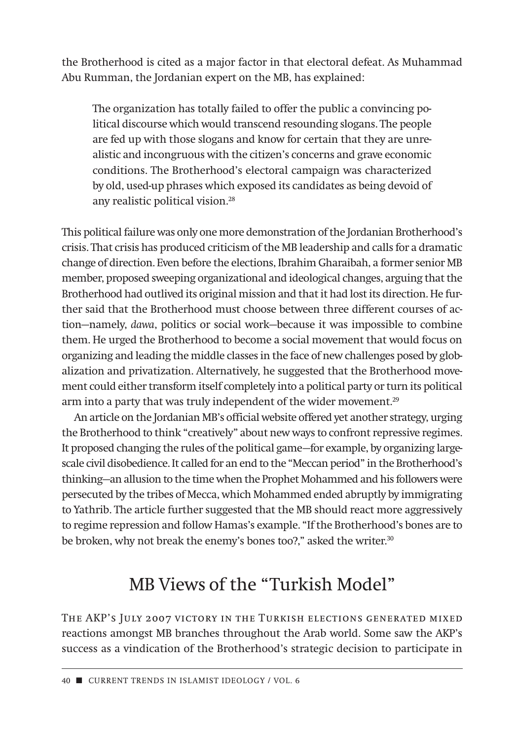the Brotherhood is cited as a major factor in that electoral defeat. As Muhammad Abu Rumman, the Jordanian expert on the MB, has explained:

The organization has totally failed to offer the public a convincing political discourse which would transcend resounding slogans. The people are fed up with those slogans and know for certain that they are unrealistic and incongruous with the citizen's concerns and grave economic conditions. The Brotherhood's electoral campaign was characterized by old, used-up phrases which exposed its candidates as being devoid of any realistic political vision.<sup>28</sup>

This political failure was only one more demonstration of the Jordanian Brotherhood's crisis. That crisis has produced criticism of the MB leadership and calls for a dramatic change of direction. Even before the elections, Ibrahim Gharaibah, a former senior MB member, proposed sweeping organizational and ideological changes, arguing that the Brotherhood had outlived its original mission and that it had lost its direction. He further said that the Brotherhood must choose between three different courses of action—namely, *dawa*, politics or social work—because it was impossible to combine them. He urged the Brotherhood to become a social movement that would focus on organizing and leading the middle classes in the face of new challenges posed by globalization and privatization. Alternatively, he suggested that the Brotherhood movement could either transform itself completely into a political party or turn its political arm into a party that was truly independent of the wider movement.<sup>29</sup>

An article on the Jordanian MB's official website offered yet another strategy, urging the Brotherhood to think "creatively" about new ways to confront repressive regimes. It proposed changing the rules of the political game—for example, by organizing largescale civil disobedience. It called for an end to the "Meccan period" in the Brotherhood's thinking—an allusion to the time when the Prophet Mohammed and his followers were persecuted by the tribes of Mecca, which Mohammed ended abruptly by immigrating to Yathrib. The article further suggested that the MB should react more aggressively to regime repression and follow Hamas's example. "If the Brotherhood's bones are to be broken, why not break the enemy's bones too?," asked the writer.<sup>30</sup>

## MB Views of the "Turkish Model"

The AKP's July 2007 victory in the Turkish elections generated mixed reactions amongst MB branches throughout the Arab world. Some saw the AKP's success as a vindication of the Brotherhood's strategic decision to participate in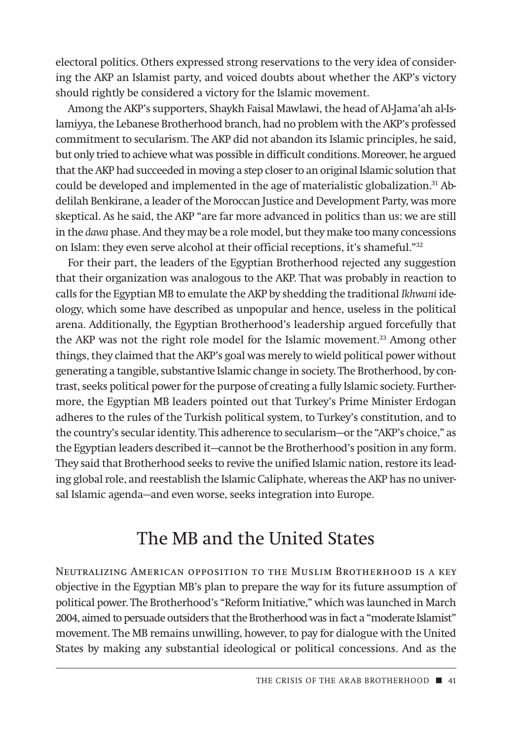electoral politics. Others expressed strong reservations to the very idea of considering the AKP an Islamist party, and voiced doubts about whether the AKP's victory should rightly be considered a victory for the Islamic movement.

Among the AKP's supporters, Shaykh Faisal Mawlawi, the head of Al-Jama'ah al-Islamiyya, the Lebanese Brotherhood branch, had no problem with the AKP's professed commitment to secularism. The AKP did not abandon its Islamic principles, he said, but only tried to achieve what was possible in difficult conditions. Moreover, he argued that the AKP had succeeded in moving a step closer to an original Islamic solution that could be developed and implemented in the age of materialistic globalization.<sup>31</sup> Abdelilah Benkirane, a leader of the Moroccan Justice and Development Party, was more skeptical. As he said, the AKP "are far more advanced in politics than us: we are still in the *dawa* phase. And they may be a role model, but they make too many concessions on Islam: they even serve alcohol at their official receptions, it's shameful."32

For their part, the leaders of the Egyptian Brotherhood rejected any suggestion that their organization was analogous to the AKP. That was probably in reaction to calls for the Egyptian MB to emulate the AKP by shedding the traditional *Ikhwani* ideology, which some have described as unpopular and hence, useless in the political arena. Additionally, the Egyptian Brotherhood's leadership argued forcefully that the AKP was not the right role model for the Islamic movement.<sup>33</sup> Among other things, they claimed that the AKP's goal was merely to wield political power without generating a tangible, substantive Islamic change in society. The Brotherhood, by contrast, seeks political power for the purpose of creating a fully Islamic society. Furthermore, the Egyptian MB leaders pointed out that Turkey's Prime Minister Erdogan adheres to the rules of the Turkish political system, to Turkey's constitution, and to the country's secular identity. This adherence to secularism—or the "AKP's choice," as the Egyptian leaders described it—cannot be the Brotherhood's position in any form. They said that Brotherhood seeks to revive the unified Islamic nation, restore its leading global role, and reestablish the Islamic Caliphate, whereas the AKP has no universal Islamic agenda—and even worse, seeks integration into Europe.

## The MB and the United States

Neutralizing American opposition to the Muslim Brotherhood is a key objective in the Egyptian MB's plan to prepare the way for its future assumption of political power. The Brotherhood's "Reform Initiative," which was launched in March 2004, aimed to persuade outsiders that the Brotherhood was in fact a "moderate Islamist" movement. The MB remains unwilling, however, to pay for dialogue with the United States by making any substantial ideological or political concessions. And as the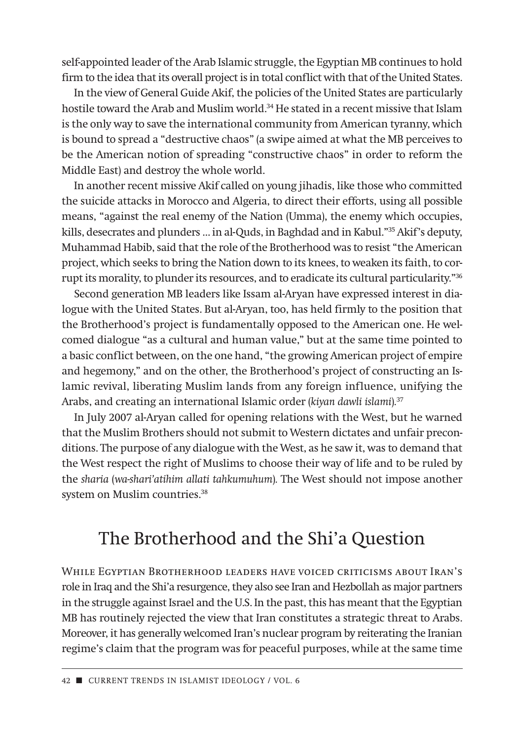self-appointed leader of the Arab Islamic struggle, the Egyptian MB continues to hold firm to the idea that its overall project is in total conflict with that of the United States.

In the view of General Guide Akif, the policies of the United States are particularly hostile toward the Arab and Muslim world.34 He stated in a recent missive that Islam is the only way to save the international community from American tyranny, which is bound to spread a "destructive chaos" (a swipe aimed at what the MB perceives to be the American notion of spreading "constructive chaos" in order to reform the Middle East) and destroy the whole world.

In another recent missive Akif called on young jihadis, like those who committed the suicide attacks in Morocco and Algeria, to direct their efforts, using all possible means, "against the real enemy of the Nation (Umma), the enemy which occupies, kills, desecrates and plunders … in al-Quds, in Baghdad and in Kabul."35 Akif's deputy, Muhammad Habib, said that the role of the Brotherhood was to resist "the American project, which seeks to bring the Nation down to its knees, to weaken its faith, to corrupt its morality, to plunder its resources, and to eradicate its cultural particularity."36

Second generation MB leaders like Issam al-Aryan have expressed interest in dialogue with the United States. But al-Aryan, too, has held firmly to the position that the Brotherhood's project is fundamentally opposed to the American one. He welcomed dialogue "as a cultural and human value," but at the same time pointed to a basic conflict between, on the one hand, "the growing American project of empire and hegemony," and on the other, the Brotherhood's project of constructing an Islamic revival, liberating Muslim lands from any foreign influence, unifying the Arabs, and creating an international Islamic order (*kiyan dawli islami*)*.* 37

In July 2007 al-Aryan called for opening relations with the West, but he warned that the Muslim Brothers should not submit to Western dictates and unfair preconditions. The purpose of any dialogue with the West, as he saw it, was to demand that the West respect the right of Muslims to choose their way of life and to be ruled by the *sharia* (*wa-shari'atihim allati tahkumuhum*)*.* The West should not impose another system on Muslim countries.<sup>38</sup>

## The Brotherhood and the Shi'a Question

While Egyptian Brotherhood leaders have voiced criticisms about Iran's role in Iraq and the Shi'a resurgence, they also see Iran and Hezbollah as major partners in the struggle against Israel and the U.S. In the past, this has meant that the Egyptian MB has routinely rejected the view that Iran constitutes a strategic threat to Arabs. Moreover, it has generally welcomed Iran's nuclear program by reiterating the Iranian regime's claim that the program was for peaceful purposes, while at the same time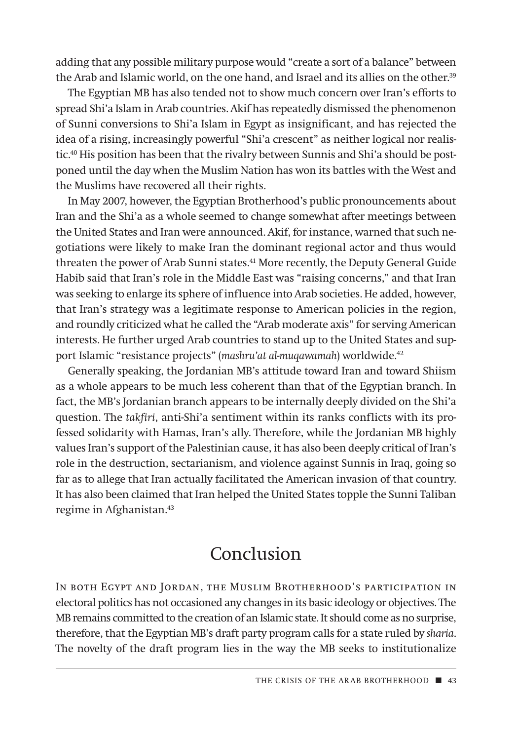adding that any possible military purpose would "create a sort of a balance" between the Arab and Islamic world, on the one hand, and Israel and its allies on the other.<sup>39</sup>

The Egyptian MB has also tended not to show much concern over Iran's efforts to spread Shi'a Islam in Arab countries. Akif has repeatedly dismissed the phenomenon of Sunni conversions to Shi'a Islam in Egypt as insignificant, and has rejected the idea of a rising, increasingly powerful "Shi'a crescent" as neither logical nor realistic.40 His position has been that the rivalry between Sunnis and Shi'a should be postponed until the day when the Muslim Nation has won its battles with the West and the Muslims have recovered all their rights.

In May 2007, however, the Egyptian Brotherhood's public pronouncements about Iran and the Shi'a as a whole seemed to change somewhat after meetings between the United States and Iran were announced. Akif, for instance, warned that such negotiations were likely to make Iran the dominant regional actor and thus would threaten the power of Arab Sunni states.<sup>41</sup> More recently, the Deputy General Guide Habib said that Iran's role in the Middle East was "raising concerns," and that Iran was seeking to enlarge its sphere of influence into Arab societies. He added, however, that Iran's strategy was a legitimate response to American policies in the region, and roundly criticized what he called the "Arab moderate axis" for serving American interests. He further urged Arab countries to stand up to the United States and support Islamic "resistance projects" (*mashru'at al-muqawamah*) worldwide.<sup>42</sup>

Generally speaking, the Jordanian MB's attitude toward Iran and toward Shiism as a whole appears to be much less coherent than that of the Egyptian branch. In fact, the MB's Jordanian branch appears to be internally deeply divided on the Shi'a question. The *takfiri*, anti-Shi'a sentiment within its ranks conflicts with its professed solidarity with Hamas, Iran's ally. Therefore, while the Jordanian MB highly values Iran's support of the Palestinian cause, it has also been deeply critical of Iran's role in the destruction, sectarianism, and violence against Sunnis in Iraq, going so far as to allege that Iran actually facilitated the American invasion of that country. It has also been claimed that Iran helped the United States topple the Sunni Taliban regime in Afghanistan.<sup>43</sup>

## Conclusion

In both Egypt and Jordan, the Muslim Brotherhood's participation in electoral politics has not occasioned any changes in its basic ideology or objectives. The MB remains committed to the creation of an Islamic state. It should come as no surprise, therefore, that the Egyptian MB's draft party program calls for a state ruled by *sharia*. The novelty of the draft program lies in the way the MB seeks to institutionalize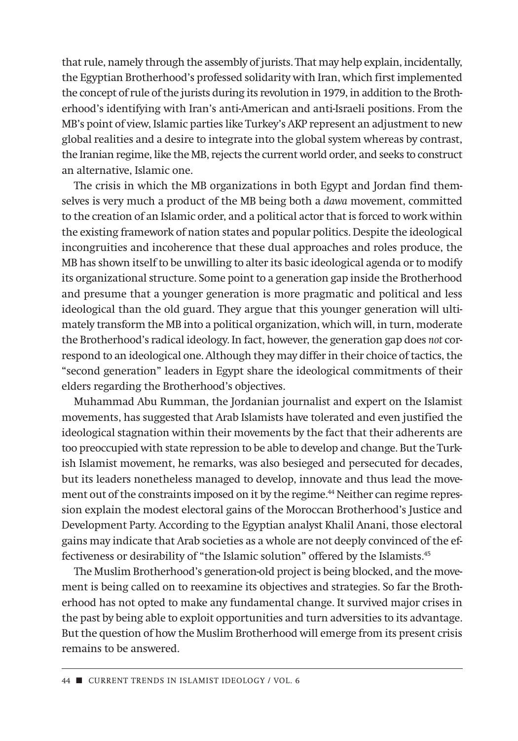that rule, namely through the assembly of jurists. That may help explain, incidentally, the Egyptian Brotherhood's professed solidarity with Iran, which first implemented the concept of rule of the jurists during its revolution in 1979, in addition to the Brotherhood's identifying with Iran's anti-American and anti-Israeli positions. From the MB's point of view, Islamic parties like Turkey's AKP represent an adjustment to new global realities and a desire to integrate into the global system whereas by contrast, the Iranian regime, like the MB, rejects the current world order, and seeks to construct an alternative, Islamic one.

The crisis in which the MB organizations in both Egypt and Jordan find themselves is very much a product of the MB being both a *dawa* movement, committed to the creation of an Islamic order, and a political actor that is forced to work within the existing framework of nation states and popular politics. Despite the ideological incongruities and incoherence that these dual approaches and roles produce, the MB has shown itself to be unwilling to alter its basic ideological agenda or to modify its organizational structure. Some point to a generation gap inside the Brotherhood and presume that a younger generation is more pragmatic and political and less ideological than the old guard. They argue that this younger generation will ultimately transform the MB into a political organization, which will, in turn, moderate the Brotherhood's radical ideology. In fact, however, the generation gap does *not* correspond to an ideological one. Although they may differ in their choice of tactics, the "second generation" leaders in Egypt share the ideological commitments of their elders regarding the Brotherhood's objectives.

Muhammad Abu Rumman, the Jordanian journalist and expert on the Islamist movements, has suggested that Arab Islamists have tolerated and even justified the ideological stagnation within their movements by the fact that their adherents are too preoccupied with state repression to be able to develop and change. But the Turkish Islamist movement, he remarks, was also besieged and persecuted for decades, but its leaders nonetheless managed to develop, innovate and thus lead the movement out of the constraints imposed on it by the regime.<sup>44</sup> Neither can regime repression explain the modest electoral gains of the Moroccan Brotherhood's Justice and Development Party. According to the Egyptian analyst Khalil Anani, those electoral gains may indicate that Arab societies as a whole are not deeply convinced of the effectiveness or desirability of "the Islamic solution" offered by the Islamists.45

The Muslim Brotherhood's generation-old project is being blocked, and the movement is being called on to reexamine its objectives and strategies. So far the Brotherhood has not opted to make any fundamental change. It survived major crises in the past by being able to exploit opportunities and turn adversities to its advantage. But the question of how the Muslim Brotherhood will emerge from its present crisis remains to be answered.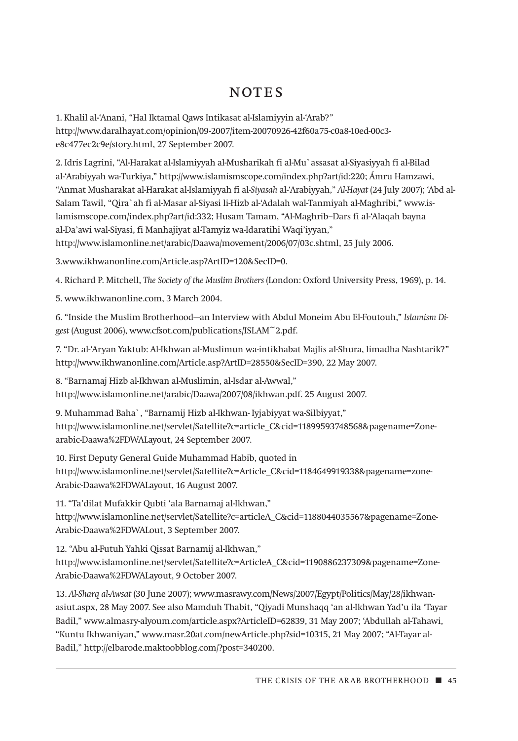#### NOTES

1. Khalil al-'Anani, "Hal Iktamal Qaws Intikasat al-Islamiyyin al-'Arab?" http://www.daralhayat.com/opinion/09-2007/item-20070926-42f60a75-c0a8-10ed-00c3 e8c477ec2c9e/story.html, 27 September 2007.

2. Idris Lagrini, "Al-Harakat al-Islamiyyah al-Musharikah fi al-Mu`assasat al-Siyasiyyah fi al-Bilad al-'Arabiyyah wa-Turkiya," http://www.islamismscope.com/index.php?art/id:220; Ámru Hamzawi, "Anmat Musharakat al-Harakat al-Islamiyyah fi al-*Siyasah* al-'Arabiyyah," *Al-Hayat* (24 July 2007); 'Abd al-Salam Tawil, "Qira`ah fi al-Masar al-Siyasi li-Hizb al-'Adalah wal-Tanmiyah al-Maghribi," www.islamismscope.com/index.php?art/id:332; Husam Tamam, "Al-Maghrib–Dars fi al-'Alaqah bayna al-Da'awi wal-Siyasi, fi Manhajiyat al-Tamyiz wa-Idaratihi Waqi'iyyan," http://www.islamonline.net/arabic/Daawa/movement/2006/07/03c.shtml, 25 July 2006.

3.www.ikhwanonline.com/Article.asp?ArtID=120&SecID=0.

4. Richard P. Mitchell, *The Society of the Muslim Brothers* (London: Oxford University Press, 1969), p. 14.

5. www.ikhwanonline.com, 3 March 2004.

6. "Inside the Muslim Brotherhood—an Interview with Abdul Moneim Abu El-Foutouh," *Islamism Digest* (August 2006), www.cfsot.com/publications/ISLAM~2.pdf.

7. "Dr. al-'Aryan Yaktub: Al-Ikhwan al-Muslimun wa-intikhabat Majlis al-Shura, limadha Nashtarik?" http://www.ikhwanonline.com/Article.asp?ArtID=28550&SecID=390, 22 May 2007.

8. "Barnamaj Hizb al-Ikhwan al-Muslimin, al-Isdar al-Awwal," http://www.islamonline.net/arabic/Daawa/2007/08/ikhwan.pdf. 25 August 2007.

9. Muhammad Baha`, "Barnamij Hizb al-Ikhwan- Iyjabiyyat wa-Silbiyyat," http://www.islamonline.net/servlet/Satellite?c=article\_C&cid=11899593748568&pagename=Zonearabic-Daawa%2FDWALayout, 24 September 2007.

10. First Deputy General Guide Muhammad Habib, quoted in http://www.islamonline.net/servlet/Satellite?c=Article\_C&cid=1184649919338&pagename=zone-Arabic-Daawa%2FDWALayout, 16 August 2007.

11. "Ta'dilat Mufakkir Qubti 'ala Barnamaj al-Ikhwan," http://www.islamonline.net/servlet/Satellite?c=articleA\_C&cid=1188044035567&pagename=Zone-Arabic-Daawa%2FDWALout, 3 September 2007.

12. "Abu al-Futuh Yahki Qissat Barnamij al-Ikhwan," http://www.islamonline.net/servlet/Satellite?c=ArticleA\_C&cid=1190886237309&pagename=Zone-Arabic-Daawa%2FDWALayout, 9 October 2007.

13. *Al-Sharq al-Awsat* (30 June 2007); www.masrawy.com/News/2007/Egypt/Politics/May/28/ikhwanasiut.aspx, 28 May 2007. See also Mamduh Thabit, "Qiyadi Munshaqq 'an al-Ikhwan Yad'u ila 'Tayar Badil," www.almasry-alyoum.com/article.aspx?ArticleID=62839, 31 May 2007; 'Abdullah al-Tahawi, "Kuntu Ikhwaniyan," www.masr.20at.com/newArticle.php?sid=10315, 21 May 2007; "Al-Tayar al-Badil," http://elbarode.maktoobblog.com/?post=340200.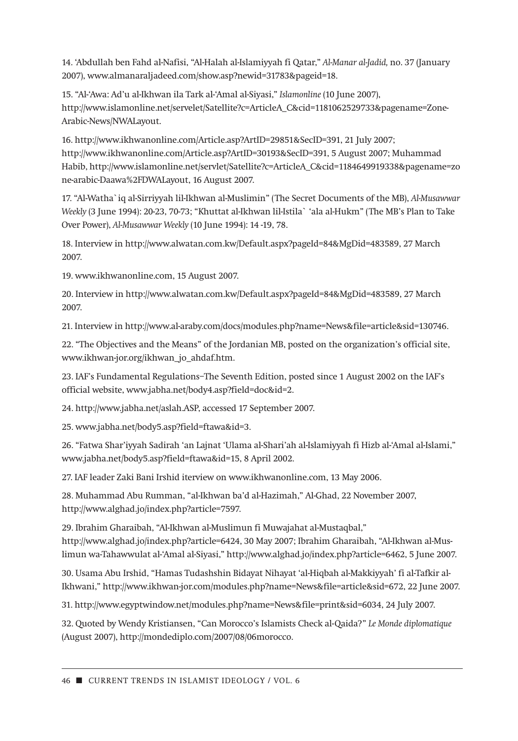14. 'Abdullah ben Fahd al-Nafisi, "Al-Halah al-Islamiyyah fi Qatar," *Al-Manar al-Jadid,* no. 37 (January 2007), www.almanaraljadeed.com/show.asp?newid=31783&pageid=18.

15. "Al-'Awa: Ad'u al-Ikhwan ila Tark al-'Amal al-Siyasi," *Islamonline* (10 June 2007), http://www.islamonline.net/servelet/Satellite?c=ArticleA\_C&cid=1181062529733&pagename=Zone-Arabic-News/NWALayout.

16. http://www.ikhwanonline.com/Article.asp?ArtID=29851&SecID=391, 21 July 2007; http://www.ikhwanonline.com/Article.asp?ArtID=30193&SecID=391, 5 August 2007; Muhammad Habib, http://www.islamonline.net/servlet/Satellite?c=ArticleA\_C&cid=1184649919338&pagename=zo ne-arabic-Daawa%2FDWALayout, 16 August 2007.

17. "Al-Watha`iq al-Sirriyyah lil-Ikhwan al-Muslimin" (The Secret Documents of the MB), *Al-Musawwar Weekly* (3 June 1994): 20-23, 70-73; "Khuttat al-Ikhwan lil-Istila` 'ala al-Hukm" (The MB's Plan to Take Over Power), *Al-Musawwar Weekly* (10 June 1994): 14 -19, 78.

18. Interview in http://www.alwatan.com.kw/Default.aspx?pageId=84&MgDid=483589, 27 March 2007.

19. www.ikhwanonline.com, 15 August 2007.

20. Interview in http://www.alwatan.com.kw/Default.aspx?pageId=84&MgDid=483589, 27 March 2007.

21. Interview in http://www.al-araby.com/docs/modules.php?name=News&file=article&sid=130746.

22. "The Objectives and the Means" of the Jordanian MB, posted on the organization's official site, www.ikhwan-jor.org/ikhwan\_jo\_ahdaf.htm.

23. IAF's Fundamental Regulations–The Seventh Edition, posted since 1 August 2002 on the IAF's official website, www.jabha.net/body4.asp?field=doc&id=2.

24. http://www.jabha.net/aslah.ASP, accessed 17 September 2007.

25. www.jabha.net/body5.asp?field=ftawa&id=3.

26. "Fatwa Shar'iyyah Sadirah 'an Lajnat 'Ulama al-Shari'ah al-Islamiyyah fi Hizb al-'Amal al-Islami," www.jabha.net/body5.asp?field=ftawa&id=15, 8 April 2002.

27. IAF leader Zaki Bani Irshid iterview on www.ikhwanonline.com, 13 May 2006.

28. Muhammad Abu Rumman, "al-Ikhwan ba'd al-Hazimah," Al-Ghad, 22 November 2007, http://www.alghad.jo/index.php?article=7597.

29. Ibrahim Gharaibah, "Al-Ikhwan al-Muslimun fi Muwajahat al-Mustaqbal," http://www.alghad.jo/index.php?article=6424, 30 May 2007; Ibrahim Gharaibah, "Al-Ikhwan al-Muslimun wa-Tahawwulat al-'Amal al-Siyasi," http://www.alghad.jo/index.php?article=6462, 5 June 2007.

30. Usama Abu Irshid, "Hamas Tudashshin Bidayat Nihayat 'al-Hiqbah al-Makkiyyah' fi al-Tafkir al-Ikhwani," http://www.ikhwan-jor.com/modules.php?name=News&file=article&sid=672, 22 June 2007.

31. http://www.egyptwindow.net/modules.php?name=News&file=print&sid=6034, 24 July 2007.

32. Quoted by Wendy Kristiansen, "Can Morocco's Islamists Check al-Qaida?" *Le Monde diplomatique* (August 2007), http://mondediplo.com/2007/08/06morocco.